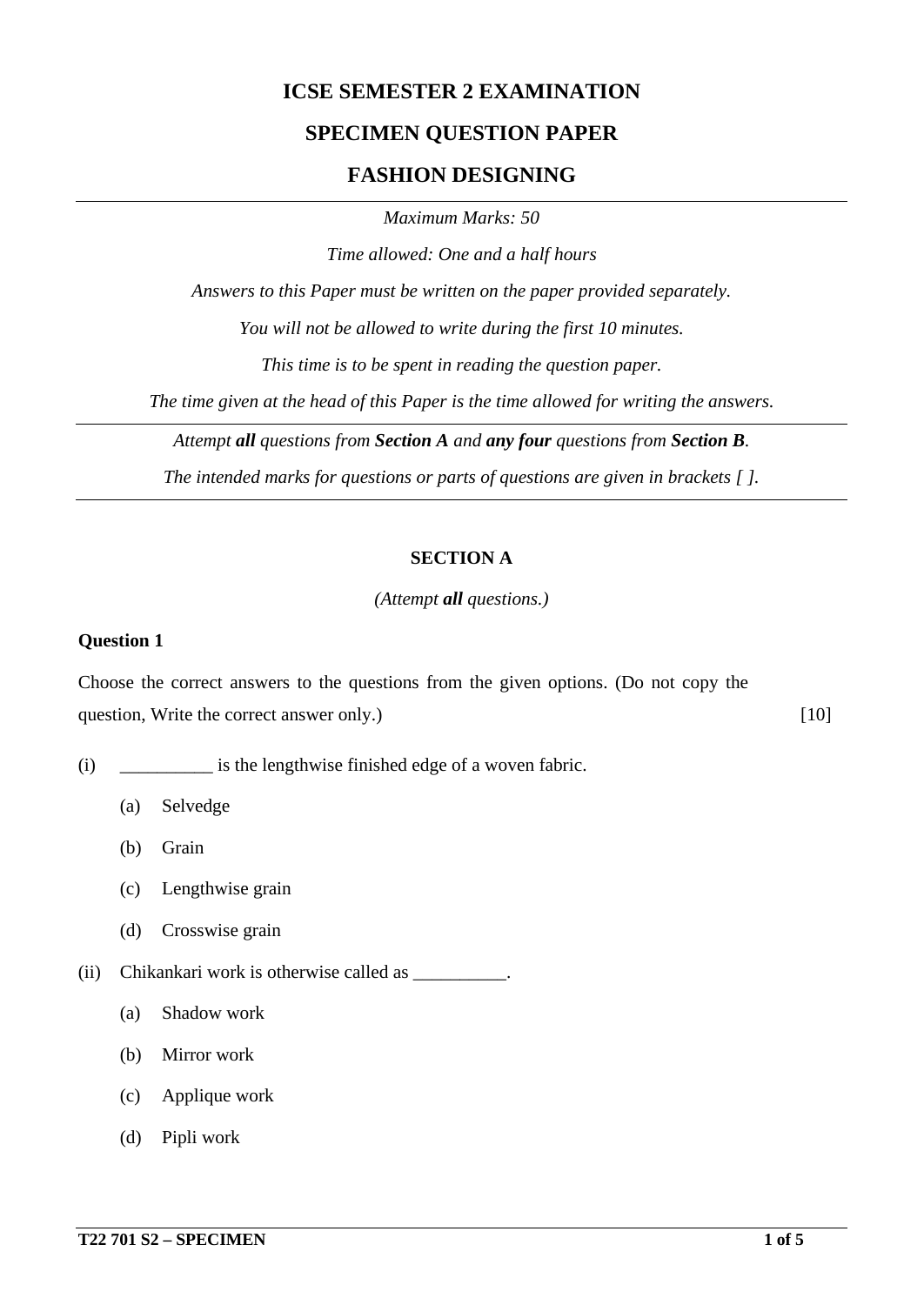## **ICSE SEMESTER 2 EXAMINATION**

# **SPECIMEN QUESTION PAPER**

### **FASHION DESIGNING**

*Maximum Marks: 50*

*Time allowed: One and a half hours*

*Answers to this Paper must be written on the paper provided separately.*

*You will not be allowed to write during the first 10 minutes.*

*This time is to be spent in reading the question paper.*

*The time given at the head of this Paper is the time allowed for writing the answers.*

*Attempt all questions from Section A and any four questions from Section B.*

*The intended marks for questions or parts of questions are given in brackets [ ].*

#### **SECTION A**

*(Attempt all questions.)*

#### **Question 1**

Choose the correct answers to the questions from the given options. (Do not copy the question, Write the correct answer only.) [10]

- (i) \_\_\_\_\_\_\_\_\_\_ is the lengthwise finished edge of a woven fabric.
	- (a) Selvedge
	- (b) Grain
	- (c) Lengthwise grain
	- (d) Crosswise grain
- (ii) Chikankari work is otherwise called as \_\_\_\_\_\_\_\_\_\_.
	- (a) Shadow work
	- (b) Mirror work
	- (c) Applique work
	- (d) Pipli work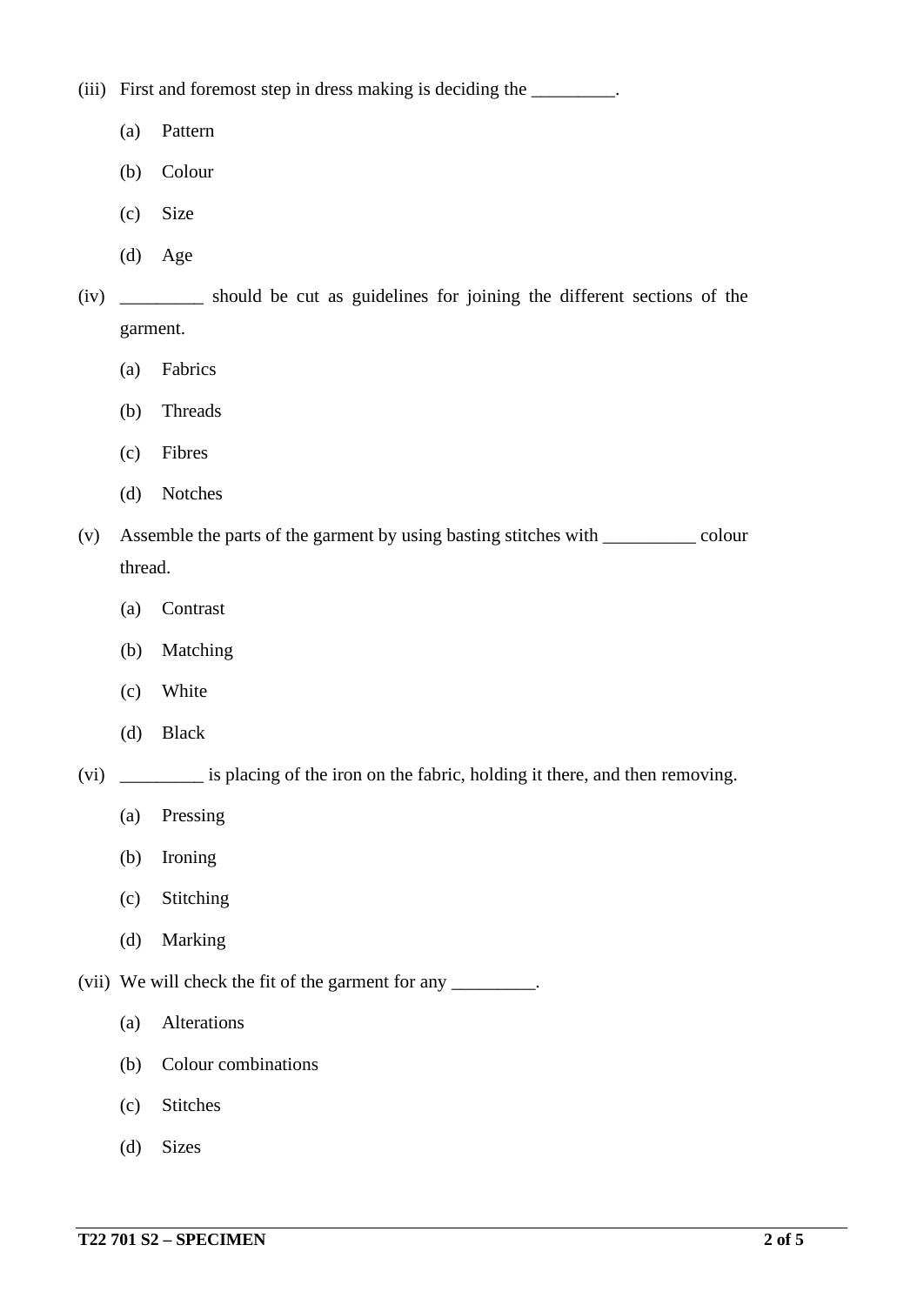(iii) First and foremost step in dress making is deciding the \_\_\_\_\_\_\_\_\_.

- (a) Pattern
- (b) Colour
- (c) Size
- (d) Age
- (iv) \_\_\_\_\_\_\_\_\_ should be cut as guidelines for joining the different sections of the garment.
	- (a) Fabrics
	- (b) Threads
	- (c) Fibres
	- (d) Notches
- (v) Assemble the parts of the garment by using basting stitches with \_\_\_\_\_\_\_\_\_\_ colour thread.
	- (a) Contrast
	- (b) Matching
	- (c) White
	- (d) Black
- (vi) \_\_\_\_\_\_\_\_\_ is placing of the iron on the fabric, holding it there, and then removing.
	- (a) Pressing
	- (b) Ironing
	- (c) Stitching
	- (d) Marking
- (vii) We will check the fit of the garment for any \_\_\_\_\_\_\_\_\_.
	- (a) Alterations
	- (b) Colour combinations
	- (c) Stitches
	- (d) Sizes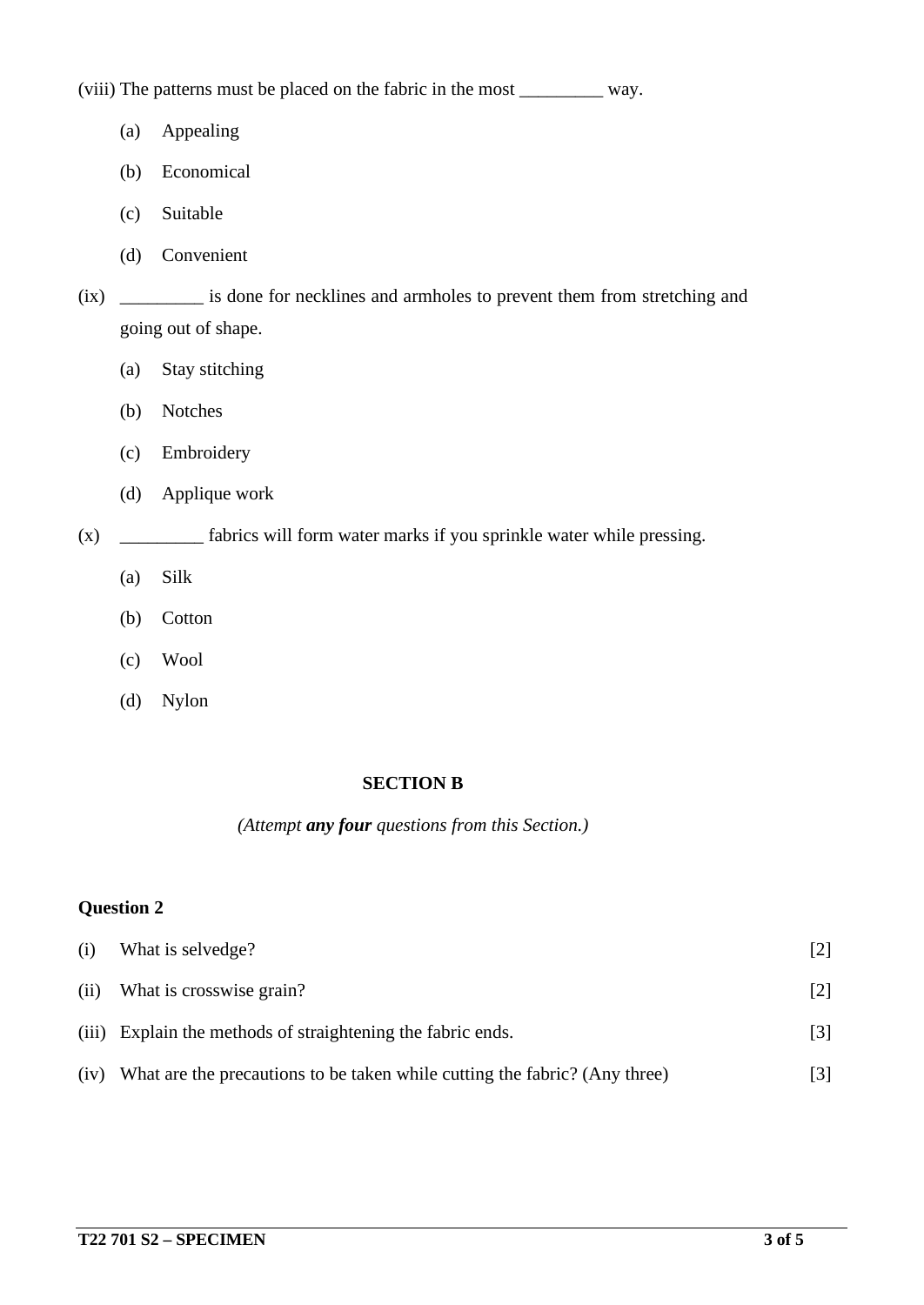(viii) The patterns must be placed on the fabric in the most \_\_\_\_\_\_\_\_\_ way.

- (a) Appealing
- (b) Economical
- (c) Suitable
- (d) Convenient
- (ix) \_\_\_\_\_\_\_\_\_ is done for necklines and armholes to prevent them from stretching and going out of shape.
	- (a) Stay stitching
	- (b) Notches
	- (c) Embroidery
	- (d) Applique work
- (x) \_\_\_\_\_\_\_\_\_ fabrics will form water marks if you sprinkle water while pressing.
	- (a) Silk
	- (b) Cotton
	- (c) Wool
	- (d) Nylon

#### **SECTION B**

*(Attempt any four questions from this Section.)*

## **Question 2**

| (i)  | What is selvedge?                                                          |     |
|------|----------------------------------------------------------------------------|-----|
| (ii) | What is crosswise grain?                                                   | [2] |
|      | (iii) Explain the methods of straightening the fabric ends.                | [3] |
| (iv) | What are the precautions to be taken while cutting the fabric? (Any three) |     |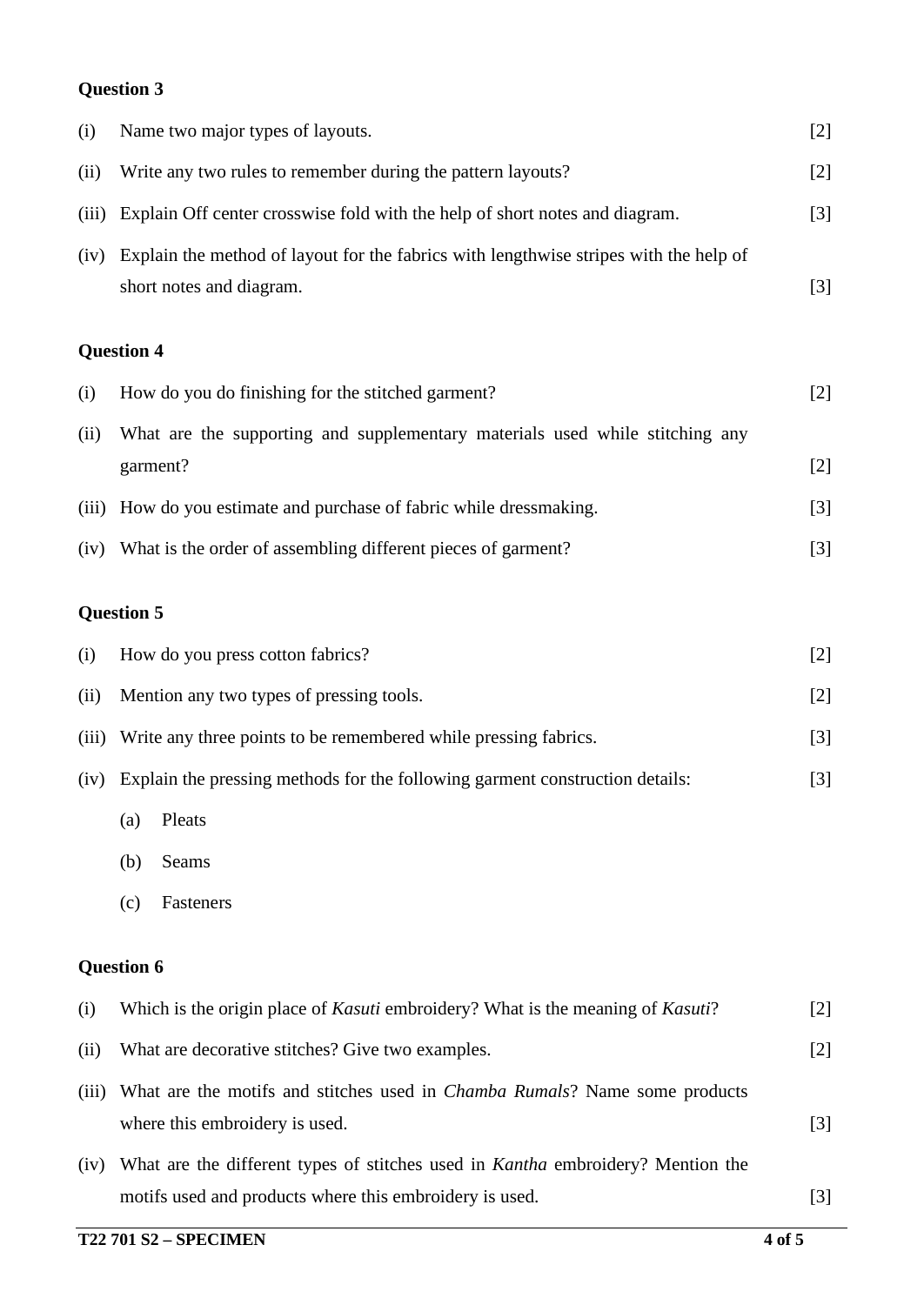## **Question 3**

| (i)   | Name two major types of layouts.                                                                                     | $[2]$ |
|-------|----------------------------------------------------------------------------------------------------------------------|-------|
| (ii)  | Write any two rules to remember during the pattern layouts?                                                          | $[2]$ |
| (iii) | Explain Off center crosswise fold with the help of short notes and diagram.                                          | $[3]$ |
| (iv)  | Explain the method of layout for the fabrics with lengthwise stripes with the help of<br>short notes and diagram.    | $[3]$ |
|       | <b>Question 4</b>                                                                                                    |       |
| (i)   | How do you do finishing for the stitched garment?                                                                    | $[2]$ |
| (ii)  | What are the supporting and supplementary materials used while stitching any<br>garment?                             | $[2]$ |
| (iii) | How do you estimate and purchase of fabric while dressmaking.                                                        | $[3]$ |
|       | (iv) What is the order of assembling different pieces of garment?                                                    | $[3]$ |
|       | <b>Question 5</b>                                                                                                    |       |
| (i)   | How do you press cotton fabrics?                                                                                     | $[2]$ |
| (ii)  | Mention any two types of pressing tools.                                                                             | $[2]$ |
| (iii) | Write any three points to be remembered while pressing fabrics.                                                      | $[3]$ |
|       | (iv) Explain the pressing methods for the following garment construction details:                                    | $[3]$ |
|       | Pleats<br>(a)                                                                                                        |       |
|       | Seams<br>(b)                                                                                                         |       |
|       | Fasteners<br>(c)                                                                                                     |       |
|       | <b>Question 6</b>                                                                                                    |       |
| (i)   | Which is the origin place of <i>Kasuti</i> embroidery? What is the meaning of <i>Kasuti</i> ?                        | $[2]$ |
| (ii)  | What are decorative stitches? Give two examples.                                                                     | $[2]$ |
| (iii) | What are the motifs and stitches used in <i>Chamba Rumals</i> ? Name some products<br>where this embroidery is used. | $[3]$ |
| (iv)  | What are the different types of stitches used in <i>Kantha</i> embroidery? Mention the                               |       |
|       | motifs used and products where this embroidery is used.                                                              | $[3]$ |